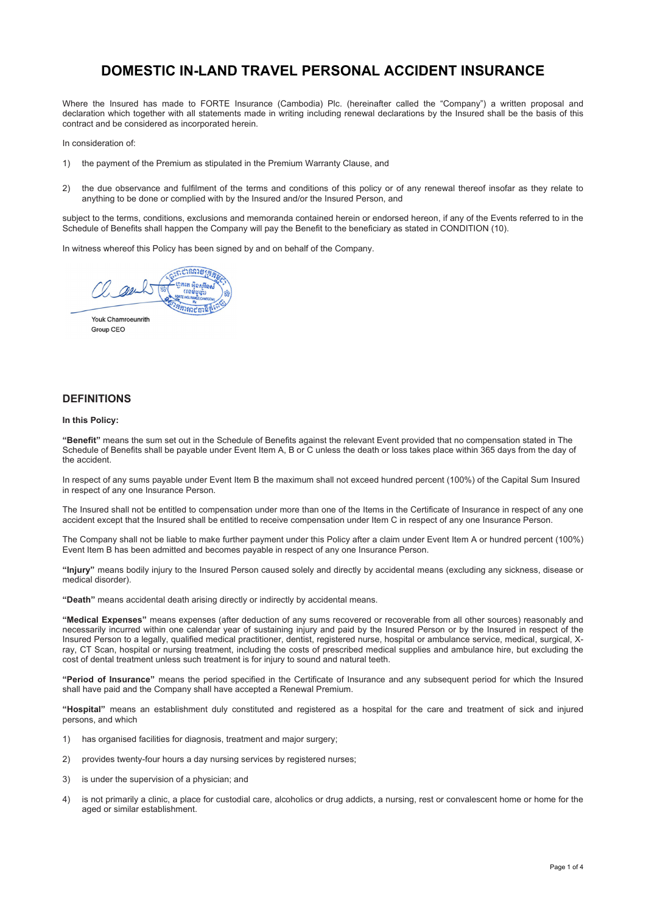# **DOMESTIC IN-LAND TRAVEL PERSONAL ACCIDENT INSURANCE**

Where the Insured has made to FORTE Insurance (Cambodia) Plc. (hereinafter called the "Company") a written proposal and declaration which together with all statements made in writing including renewal declarations by the Insured shall be the basis of this contract and be considered as incorporated herein.

In consideration of:

- 1) the payment of the Premium as stipulated in the Premium Warranty Clause, and
- 2) the due observance and fulfilment of the terms and conditions of this policy or of any renewal thereof insofar as they relate to anything to be done or complied with by the Insured and/or the Insured Person, and

subject to the terms, conditions, exclusions and memoranda contained herein or endorsed hereon, if any of the Events referred to in the Schedule of Benefits shall happen the Company will pay the Benefit to the beneficiary as stated in CONDITION (10).

In witness whereof this Policy has been signed by and on behalf of the Company.

הלוחותו הה .<br>បាននិង១និងការ m réa ริตารถศาตร์

Youk Chamroeunrith Group CEO

# **DEFINITIONS**

# **In this Policy:**

**"Benefit"** means the sum set out in the Schedule of Benefits against the relevant Event provided that no compensation stated in The Schedule of Benefits shall be payable under Event Item A, B or C unless the death or loss takes place within 365 days from the day of the accident.

In respect of any sums payable under Event Item B the maximum shall not exceed hundred percent (100%) of the Capital Sum Insured in respect of any one Insurance Person.

The Insured shall not be entitled to compensation under more than one of the Items in the Certificate of Insurance in respect of any one accident except that the Insured shall be entitled to receive compensation under Item C in respect of any one Insurance Person.

The Company shall not be liable to make further payment under this Policy after a claim under Event Item A or hundred percent (100%) Event Item B has been admitted and becomes payable in respect of any one Insurance Person.

**"Injury"** means bodily injury to the Insured Person caused solely and directly by accidental means (excluding any sickness, disease or medical disorder).

**"Death"** means accidental death arising directly or indirectly by accidental means.

**"Medical Expenses"** means expenses (after deduction of any sums recovered or recoverable from all other sources) reasonably and necessarily incurred within one calendar year of sustaining injury and paid by the Insured Person or by the Insured in respect of the Insured Person to a legally, qualified medical practitioner, dentist, registered nurse, hospital or ambulance service, medical, surgical, Xray, CT Scan, hospital or nursing treatment, including the costs of prescribed medical supplies and ambulance hire, but excluding the cost of dental treatment unless such treatment is for injury to sound and natural teeth.

**"Period of Insurance"** means the period specified in the Certificate of Insurance and any subsequent period for which the Insured shall have paid and the Company shall have accepted a Renewal Premium.

**"Hospital"** means an establishment duly constituted and registered as a hospital for the care and treatment of sick and injured persons, and which

- 1) has organised facilities for diagnosis, treatment and major surgery;
- 2) provides twenty-four hours a day nursing services by registered nurses;
- 3) is under the supervision of a physician; and
- 4) is not primarily a clinic, a place for custodial care, alcoholics or drug addicts, a nursing, rest or convalescent home or home for the aged or similar establishment.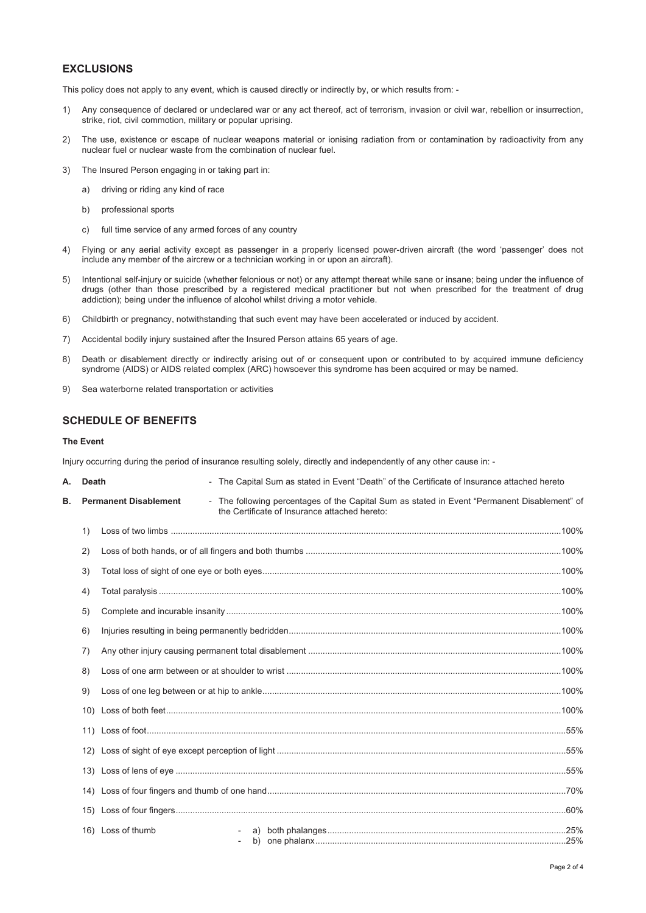# **EXCLUSIONS**

This policy does not apply to any event, which is caused directly or indirectly by, or which results from: -

- 1) Any consequence of declared or undeclared war or any act thereof, act of terrorism, invasion or civil war, rebellion or insurrection, strike, riot, civil commotion, military or popular uprising.
- 2) The use, existence or escape of nuclear weapons material or ionising radiation from or contamination by radioactivity from any nuclear fuel or nuclear waste from the combination of nuclear fuel.
- 3) The Insured Person engaging in or taking part in:
	- a) driving or riding any kind of race
	- b) professional sports
	- c) full time service of any armed forces of any country
- 4) Flying or any aerial activity except as passenger in a properly licensed power-driven aircraft (the word 'passenger' does not include any member of the aircrew or a technician working in or upon an aircraft).
- 5) Intentional self-injury or suicide (whether felonious or not) or any attempt thereat while sane or insane; being under the influence of drugs (other than those prescribed by a registered medical practitioner but not when prescribed for the treatment of drug addiction); being under the influence of alcohol whilst driving a motor vehicle.
- 6) Childbirth or pregnancy, notwithstanding that such event may have been accelerated or induced by accident.
- 7) Accidental bodily injury sustained after the Insured Person attains 65 years of age.
- 8) Death or disablement directly or indirectly arising out of or consequent upon or contributed to by acquired immune deficiency syndrome (AIDS) or AIDS related complex (ARC) howsoever this syndrome has been acquired or may be named.
- 9) Sea waterborne related transportation or activities

# **SCHEDULE OF BENEFITS**

# **The Event**

Injury occurring during the period of insurance resulting solely, directly and independently of any other cause in: -

| А. | <b>Death</b>                 |                   | - The Capital Sum as stated in Event "Death" of the Certificate of Insurance attached hereto                                                  |  |  |  |  |  |
|----|------------------------------|-------------------|-----------------------------------------------------------------------------------------------------------------------------------------------|--|--|--|--|--|
| В. | <b>Permanent Disablement</b> |                   | - The following percentages of the Capital Sum as stated in Event "Permanent Disablement" of<br>the Certificate of Insurance attached hereto: |  |  |  |  |  |
|    | 1)                           |                   |                                                                                                                                               |  |  |  |  |  |
|    | 2)                           |                   |                                                                                                                                               |  |  |  |  |  |
|    | 3)                           |                   |                                                                                                                                               |  |  |  |  |  |
|    | 4)                           |                   |                                                                                                                                               |  |  |  |  |  |
|    | 5)                           |                   |                                                                                                                                               |  |  |  |  |  |
|    | 6)                           |                   |                                                                                                                                               |  |  |  |  |  |
|    | 7)                           |                   |                                                                                                                                               |  |  |  |  |  |
|    | 8)                           |                   |                                                                                                                                               |  |  |  |  |  |
|    | 9)                           |                   |                                                                                                                                               |  |  |  |  |  |
|    |                              |                   |                                                                                                                                               |  |  |  |  |  |
|    |                              |                   |                                                                                                                                               |  |  |  |  |  |
|    |                              |                   |                                                                                                                                               |  |  |  |  |  |
|    |                              |                   |                                                                                                                                               |  |  |  |  |  |
|    |                              |                   |                                                                                                                                               |  |  |  |  |  |
|    |                              |                   |                                                                                                                                               |  |  |  |  |  |
|    |                              | 16) Loss of thumb |                                                                                                                                               |  |  |  |  |  |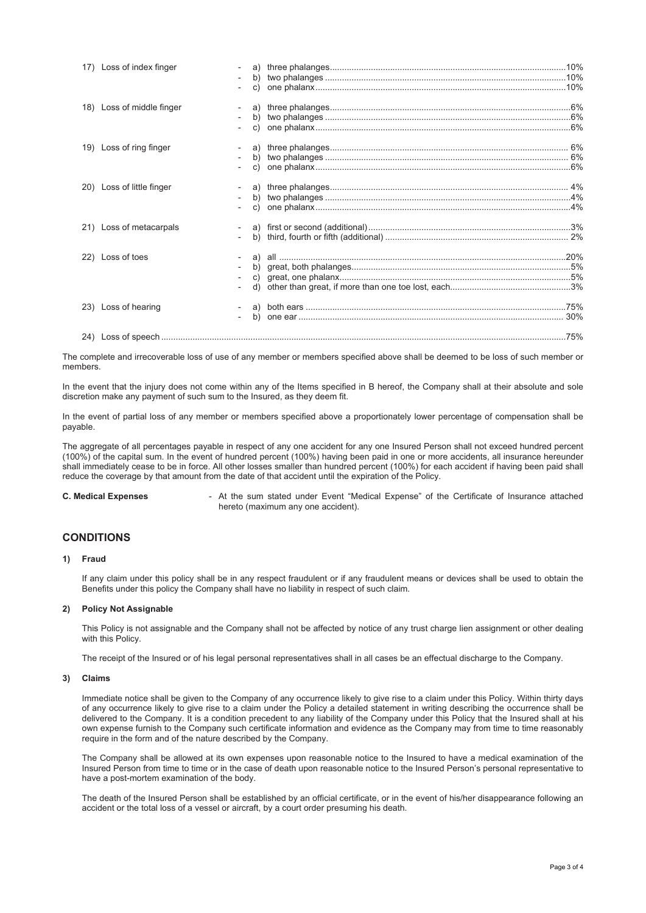|     | 17) Loss of index finger  |    |  |
|-----|---------------------------|----|--|
|     | 18) Loss of middle finger |    |  |
|     | 19) Loss of ring finger   | C) |  |
|     | 20) Loss of little finger | C) |  |
|     | 21) Loss of metacarpals   |    |  |
| 22) | Loss of toes              |    |  |
|     | 23) Loss of hearing       | b) |  |
|     |                           |    |  |

The complete and irrecoverable loss of use of any member or members specified above shall be deemed to be loss of such member or members.

In the event that the injury does not come within any of the Items specified in B hereof, the Company shall at their absolute and sole discretion make any payment of such sum to the Insured, as they deem fit.

In the event of partial loss of any member or members specified above a proportionately lower percentage of compensation shall be payable.

The aggregate of all percentages payable in respect of any one accident for any one Insured Person shall not exceed hundred percent (100%) of the capital sum. In the event of hundred percent (100%) having been paid in one or more accidents, all insurance hereunder shall immediately cease to be in force. All other losses smaller than hundred percent (100%) for each accident if having been paid shall reduce the coverage by that amount from the date of that accident until the expiration of the Policy.

**C. Medical Expenses - At the sum stated under Event "Medical Expense" of the Certificate of Insurance attached** hereto (maximum any one accident).

# **CONDITIONS**

# **1) Fraud**

If any claim under this policy shall be in any respect fraudulent or if any fraudulent means or devices shall be used to obtain the Benefits under this policy the Company shall have no liability in respect of such claim.

#### **2) Policy Not Assignable**

This Policy is not assignable and the Company shall not be affected by notice of any trust charge lien assignment or other dealing with this Policy.

The receipt of the Insured or of his legal personal representatives shall in all cases be an effectual discharge to the Company.

#### **3) Claims**

Immediate notice shall be given to the Company of any occurrence likely to give rise to a claim under this Policy. Within thirty days of any occurrence likely to give rise to a claim under the Policy a detailed statement in writing describing the occurrence shall be delivered to the Company. It is a condition precedent to any liability of the Company under this Policy that the Insured shall at his own expense furnish to the Company such certificate information and evidence as the Company may from time to time reasonably require in the form and of the nature described by the Company.

The Company shall be allowed at its own expenses upon reasonable notice to the Insured to have a medical examination of the Insured Person from time to time or in the case of death upon reasonable notice to the Insured Person's personal representative to have a post-mortem examination of the body.

The death of the Insured Person shall be established by an official certificate, or in the event of his/her disappearance following an accident or the total loss of a vessel or aircraft, by a court order presuming his death.